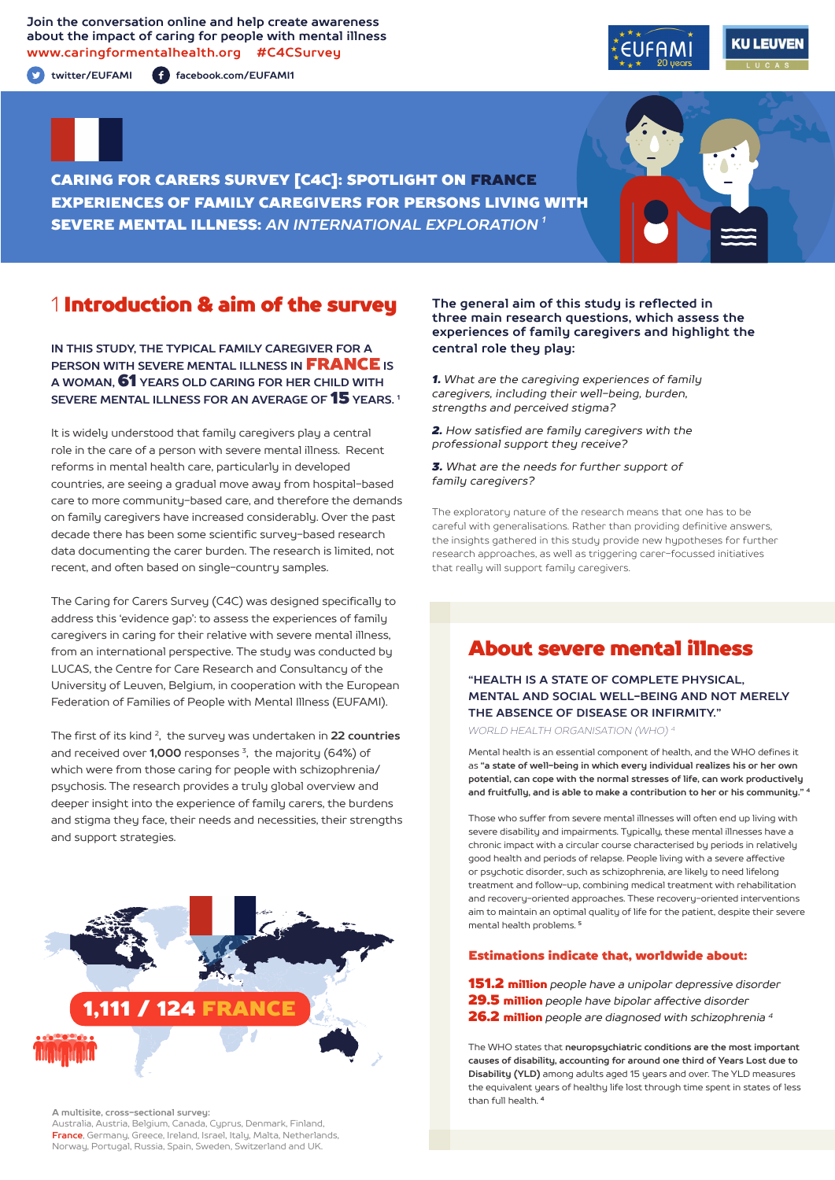**Join the conversation online and help create awareness about the impact of caring for people with mental illness www.caringformentalhealth.org #C4CSurvey**

**twitter/EUFAMI facebook.com/EUFAMI1**





CARING FOR CARERS SURVEY [C4C]: SPOTLIGHT ON FRANCE EXPERIENCES OF FAMILY CAREGIVERS FOR PERSONS LIVING WITH SEVERE MENTAL ILLNESS: *AN INTERNATIONAL EXPLORATION 1*

## 1 Introduction & aim of the survey

**IN THIS STUDY, THE TYPICAL FAMILY CAREGIVER FOR A PERSON WITH SEVERE MENTAL ILLNESS IN** FRANCE **IS A WOMAN,** 61 **YEARS OLD CARING FOR HER CHILD WITH SEVERE MENTAL ILLNESS FOR AN AVERAGE OF** 15 **YEARS. 1**

It is widely understood that family caregivers play a central role in the care of a person with severe mental illness. Recent reforms in mental health care, particularly in developed countries, are seeing a gradual move away from hospital-based care to more community-based care, and therefore the demands on family caregivers have increased considerably. Over the past decade there has been some scientific survey-based research data documenting the carer burden. The research is limited, not recent, and often based on single-country samples.

The Caring for Carers Survey (C4C) was designed specifically to address this 'evidence gap': to assess the experiences of family caregivers in caring for their relative with severe mental illness, from an international perspective. The study was conducted by LUCAS, the Centre for Care Research and Consultancy of the University of Leuven, Belgium, in cooperation with the European Federation of Families of People with Mental Illness (EUFAMI).

The first of its kind 2, the survey was undertaken in **22 countries** and received over **1,000** responses 3, the majority (64%) of which were from those caring for people with schizophrenia/ psychosis. The research provides a truly global overview and deeper insight into the experience of family carers, the burdens and stigma they face, their needs and necessities, their strengths and support strategies.



**A multisite, cross-sectional survey:** 

Australia, Austria, Belgium, Canada, Cyprus, Denmark, Finland, **France**, Germany, Greece, Ireland, Israel, Italy, Malta, Netherlands, Norway, Portugal, Russia, Spain, Sweden, Switzerland and UK.

### **The general aim of this study is reflected in three main research questions, which assess the experiences of family caregivers and highlight the central role they play:**

*1. What are the caregiving experiences of family caregivers, including their well-being, burden, strengths and perceived stigma?*

*2. How satisfied are family caregivers with the professional support they receive?*

*3. What are the needs for further support of family caregivers?*

The exploratory nature of the research means that one has to be careful with generalisations. Rather than providing definitive answers, the insights gathered in this study provide new hypotheses for further research approaches, as well as triggering carer-focussed initiatives that really will support family caregivers.

# About severe mental illness

**"HEALTH IS A STATE OF COMPLETE PHYSICAL, MENTAL AND SOCIAL WELL-BEING AND NOT MERELY THE ABSENCE OF DISEASE OR INFIRMITY."**

*WORLD HEALTH ORGANISATION (WHO) 4*

Mental health is an essential component of health, and the WHO defines it as **"a state of well-being in which every individual realizes his or her own potential, can cope with the normal stresses of life, can work productively and fruitfully, and is able to make a contribution to her or his community." <sup>4</sup>**

Those who suffer from severe mental illnesses will often end up living with severe disability and impairments. Typically, these mental illnesses have a chronic impact with a circular course characterised by periods in relatively good health and periods of relapse. People living with a severe affective or psychotic disorder, such as schizophrenia, are likely to need lifelong treatment and follow-up, combining medical treatment with rehabilitation and recovery-oriented approaches. These recovery-oriented interventions aim to maintain an optimal quality of life for the patient, despite their severe mental health problems. **<sup>5</sup>**

#### Estimations indicate that, worldwide about:

151.2 million *people have a unipolar depressive disorder* 29.5 million *people have bipolar affective disorder*  26.2 million *people are diagnosed with schizophrenia 4*

The WHO states that **neuropsychiatric conditions are the most important causes of disability, accounting for around one third of Years Lost due to Disability (YLD)** among adults aged 15 years and over. The YLD measures the equivalent years of healthy life lost through time spent in states of less than full health. **<sup>4</sup>**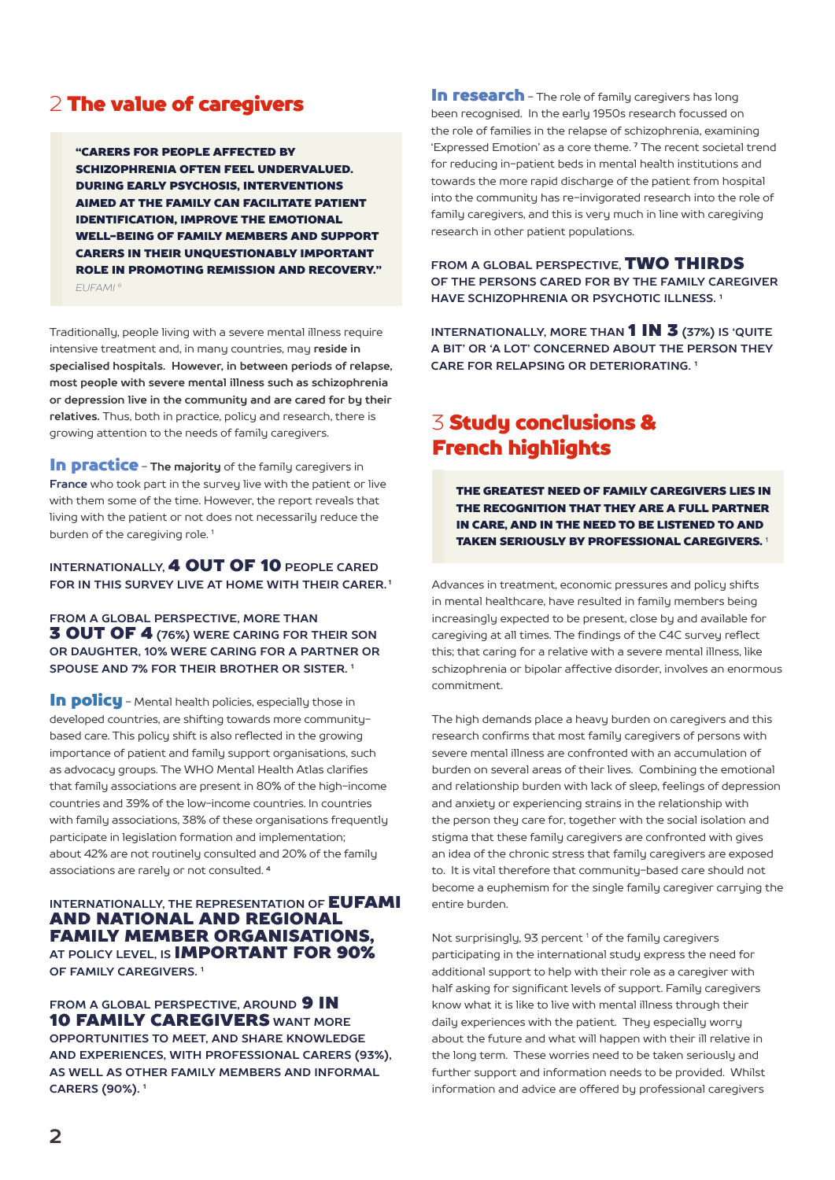# 2 The value of caregivers

"CARERS FOR PEOPLE AFFECTED BY SCHIZOPHRENIA OFTEN FEEL UNDERVALUED. DURING EARLY PSYCHOSIS, INTERVENTIONS AIMED AT THE FAMILY CAN FACILITATE PATIENT IDENTIFICATION, IMPROVE THE EMOTIONAL WELL-BEING OF FAMILY MEMBERS AND SUPPORT CARERS IN THEIR UNQUESTIONABLY IMPORTANT ROLE IN PROMOTING REMISSION AND RECOVERY." *EUFAMI 6*

Traditionally, people living with a severe mental illness require intensive treatment and, in many countries, may **reside in specialised hospitals. However, in between periods of relapse, most people with severe mental illness such as schizophrenia or depression live in the community and are cared for by their relatives.** Thus, both in practice, policy and research, there is growing attention to the needs of family caregivers.

**In practice** - The majority of the family caregivers in **France** who took part in the survey live with the patient or live with them some of the time. However, the report reveals that living with the patient or not does not necessarily reduce the burden of the caregiving role.<sup>1</sup>

### **INTERNATIONALLY,** 4 OUT OF 10 **PEOPLE CARED FOR IN THIS SURVEY LIVE AT HOME WITH THEIR CARER. 1**

### **FROM A GLOBAL PERSPECTIVE, MORE THAN** 3 OUT OF 4 **(76%) WERE CARING FOR THEIR SON OR DAUGHTER, 10% WERE CARING FOR A PARTNER OR SPOUSE AND 7% FOR THEIR BROTHER OR SISTER. 1**

In policu - Mental health policies, especially those in developed countries, are shifting towards more communitybased care. This policy shift is also reflected in the growing importance of patient and family support organisations, such as advocacy groups. The WHO Mental Health Atlas clarifies that family associations are present in 80% of the high-income countries and 39% of the low-income countries. In countries with family associations, 38% of these organisations frequently participate in legislation formation and implementation; about 42% are not routinely consulted and 20% of the family associations are rarely or not consulted. **<sup>4</sup>**

### **INTERNATIONALLY, THE REPRESENTATION OF EUFAMI** AND NATIONAL AND REGIONAL FAMILY MEMBER ORGANISATIONS, **AT POLICY LEVEL, IS** IMPORTANT FOR 90% **OF FAMILY CAREGIVERS. 1**

**FROM A GLOBAL PERSPECTIVE, AROUND 9 IN** 10 FAMILY CAREGIVERS **WANT MORE OPPORTUNITIES TO MEET, AND SHARE KNOWLEDGE AND EXPERIENCES, WITH PROFESSIONAL CARERS (93%), AS WELL AS OTHER FAMILY MEMBERS AND INFORMAL CARERS (90%). 1**

In research - The role of family caregivers has long been recognised. In the early 1950s research focussed on the role of families in the relapse of schizophrenia, examining 'Expressed Emotion' as a core theme. **7** The recent societal trend for reducing in-patient beds in mental health institutions and towards the more rapid discharge of the patient from hospital into the community has re-invigorated research into the role of family caregivers, and this is very much in line with caregiving research in other patient populations.

**FROM A GLOBAL PERSPECTIVE,** TWO THIRDS **OF THE PERSONS CARED FOR BY THE FAMILY CAREGIVER HAVE SCHIZOPHRENIA OR PSYCHOTIC ILLNESS. 1**

**INTERNATIONALLY, MORE THAN** 1 IN 3 **(37%) IS 'QUITE A BIT' OR 'A LOT' CONCERNED ABOUT THE PERSON THEY CARE FOR RELAPSING OR DETERIORATING. 1**

# 3 Study conclusions & French highlights

THE GREATEST NEED OF FAMILY CAREGIVERS LIES IN THE RECOGNITION THAT THEY ARE A FULL PARTNER IN CARE, AND IN THE NEED TO BE LISTENED TO AND TAKEN SERIOUSLY BY PROFESSIONAL CAREGIVERS. <sup>1</sup>

Advances in treatment, economic pressures and policy shifts in mental healthcare, have resulted in family members being increasingly expected to be present, close by and available for caregiving at all times. The findings of the C4C survey reflect this; that caring for a relative with a severe mental illness, like schizophrenia or bipolar affective disorder, involves an enormous commitment.

The high demands place a heavy burden on caregivers and this research confirms that most family caregivers of persons with severe mental illness are confronted with an accumulation of burden on several areas of their lives. Combining the emotional and relationship burden with lack of sleep, feelings of depression and anxiety or experiencing strains in the relationship with the person they care for, together with the social isolation and stigma that these family caregivers are confronted with gives an idea of the chronic stress that family caregivers are exposed to. It is vital therefore that community-based care should not become a euphemism for the single family caregiver carrying the entire burden.

Not surprisingly, 93 percent<sup>1</sup> of the family caregivers participating in the international study express the need for additional support to help with their role as a caregiver with half asking for significant levels of support. Family caregivers know what it is like to live with mental illness through their daily experiences with the patient. They especially worry about the future and what will happen with their ill relative in the long term. These worries need to be taken seriously and further support and information needs to be provided. Whilst information and advice are offered by professional caregivers